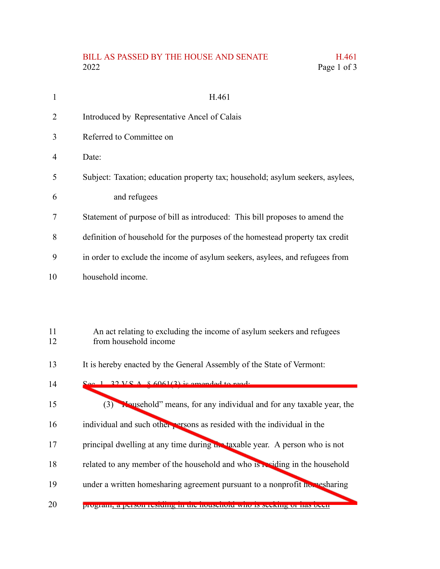## BILL AS PASSED BY THE HOUSE AND SENATE H.461<br>2022 Page 1 of 3 Page 1 of 3

| 1        | H.461                                                                                           |
|----------|-------------------------------------------------------------------------------------------------|
| 2        | Introduced by Representative Ancel of Calais                                                    |
| 3        | Referred to Committee on                                                                        |
| 4        | Date:                                                                                           |
| 5        | Subject: Taxation; education property tax; household; asylum seekers, asylees,                  |
| 6        | and refugees                                                                                    |
| 7        | Statement of purpose of bill as introduced: This bill proposes to amend the                     |
| 8        | definition of household for the purposes of the homestead property tax credit                   |
| 9        | in order to exclude the income of asylum seekers, asylees, and refugees from                    |
| 10       | household income.                                                                               |
|          |                                                                                                 |
|          |                                                                                                 |
| 11<br>12 | An act relating to excluding the income of asylum seekers and refugees<br>from household income |
| 13       | It is hereby enacted by the General Assembly of the State of Vermont:                           |
| 14       | $\text{S}_{\text{eq}}$ 1 22 V S A $\&$ 6061(2) is amended to read.                              |
| 15       | (3) <b>W</b> ousehold" means, for any individual and for any taxable year, the                  |
| 16       | individual and such other persons as resided with the individual in the                         |
| 17       | principal dwelling at any time during the taxable year. A person who is not                     |
| 18       | related to any member of the household and who is residing in the household                     |
| 19       | under a written homesharing agreement pursuant to a nonprofit homesharing                       |

program, a person residing in the household who is seeking or has been 20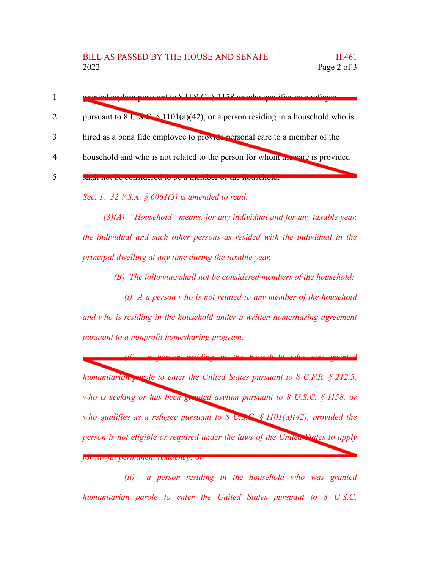|                             | granted early purguent to $\overline{Q}$ II $\overline{Q}$ $\overline{Q}$ $\overline{Q}$ and $\overline{Q}$ and $\overline{Q}$ and $\overline{Q}$ and $\overline{Q}$ and $\overline{Q}$ and $\overline{Q}$ and $\overline{Q}$ and $\overline{Q}$ and $\overline{Q}$ and $\overline{Q}$ and $\overline{Q}$ and $\overline{Q}$ |
|-----------------------------|------------------------------------------------------------------------------------------------------------------------------------------------------------------------------------------------------------------------------------------------------------------------------------------------------------------------------|
| $\mathcal{D}_{\mathcal{L}}$ | pursuant to 8 U.S.C. $\frac{8}{1101(a)(42)}$ , or a person residing in a household who is                                                                                                                                                                                                                                    |
| 3                           | hired as a bona fide employee to provide personal care to a member of the                                                                                                                                                                                                                                                    |
| $\boldsymbol{\Lambda}$      | household and who is not related to the person for whom the care is provided                                                                                                                                                                                                                                                 |
|                             |                                                                                                                                                                                                                                                                                                                              |

*Sec. 1. 32 V.S.A. § 6061(3) is amended to read:*

*(3)(A) "Household" means, for any individual and for any taxable year, the individual and such other persons as resided with the individual in the principal dwelling at any time during the taxable year.*

*(B) The following shall not be considered members of the household:*

*(i) A a person who is not related to any member of the household and who is residing in the household under a written homesharing agreement pursuant to a nonprofit homesharing program;*

*(ii) a person residing in the household who was granted humanitarian parole to enter the United States pursuant to 8 C.F.R. § 212.5, who is seeking or has been granted asylum pursuant to 8 U.S.C. § 1158, or who qualifies as a refugee pursuant to* 8 *U.S.C. §* 1101(*a*)(42), *provided the person is not eligible or required under the laws of the United States to apply for lawful permanent residency; or*

*(ii) a person residing in the household who was granted humanitarian parole to enter the United States pursuant to 8 U.S.C.*